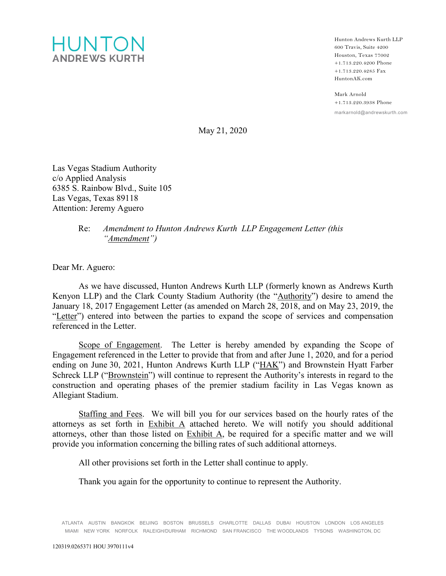

Hunton Andrews Kurth LLP 600 Travis, Suite 4200 Houston, Texas 77002 +1.713.220.4200 Phone +1.713.220.4285 Fax HuntonAK.com

Mark Arnold +1.713.220.3938 Phone markarnold@andrewskurth.com

May 21, 2020

Las Vegas Stadium Authority c/o Applied Analysis 6385 S. Rainbow Blvd., Suite 105 Las Vegas, Texas 89118 Attention: Jeremy Aguero

#### Re: *Amendment to Hunton Andrews Kurth LLP Engagement Letter (this "Amendment")*

Dear Mr. Aguero:

As we have discussed, Hunton Andrews Kurth LLP (formerly known as Andrews Kurth Kenyon LLP) and the Clark County Stadium Authority (the "Authority") desire to amend the January 18, 2017 Engagement Letter (as amended on March 28, 2018, and on May 23, 2019, the "Letter") entered into between the parties to expand the scope of services and compensation referenced in the Letter.

Scope of Engagement. The Letter is hereby amended by expanding the Scope of Engagement referenced in the Letter to provide that from and after June 1, 2020, and for a period ending on June 30, 2021, Hunton Andrews Kurth LLP ("HAK") and Brownstein Hyatt Farber Schreck LLP ("Brownstein") will continue to represent the Authority's interests in regard to the construction and operating phases of the premier stadium facility in Las Vegas known as Allegiant Stadium.

Staffing and Fees. We will bill you for our services based on the hourly rates of the attorneys as set forth in Exhibit A attached hereto. We will notify you should additional attorneys, other than those listed on Exhibit A, be required for a specific matter and we will provide you information concerning the billing rates of such additional attorneys.

All other provisions set forth in the Letter shall continue to apply.

Thank you again for the opportunity to continue to represent the Authority.

ATLANTA AUSTIN BANGKOK BEIJING BOSTON BRUSSELS CHARLOTTE DALLAS DUBAI HOUSTON LONDON LOS ANGELES MIAMI NEW YORK NORFOLK RALEIGH/DURHAM RICHMOND SAN FRANCISCO THE WOODLANDS TYSONS WASHINGTON, DC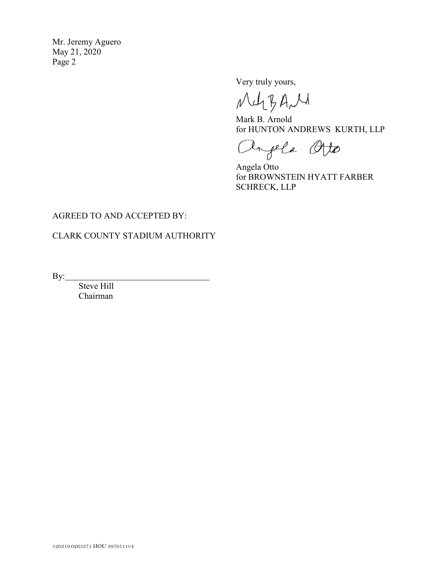Mr. Jeremy Aguero May 21, 2020 Page 2

Very truly yours,

NULBAN

Mark B. Arnold for HUNTON ANDREWS KURTH, LLP

angela Ofto

Angela Otto for BROWNSTEIN HYATT FARBER SCHRECK, LLP

#### AGREED TO AND ACCEPTED BY:

#### CLARK COUNTY STADIUM AUTHORITY

By:

Steve Hill Chairman